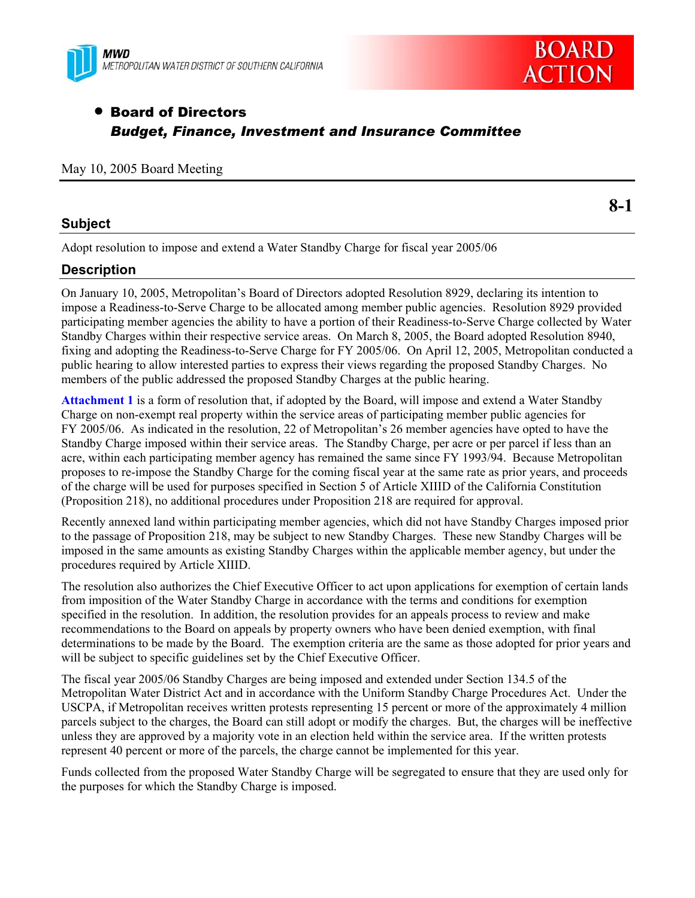



# • Board of Directors *Budget, Finance, Investment and Insurance Committee*

#### May 10, 2005 Board Meeting

## **Subject**

Adopt resolution to impose and extend a Water Standby Charge for fiscal year 2005/06

## **Description**

On January 10, 2005, Metropolitan's Board of Directors adopted Resolution 8929, declaring its intention to impose a Readiness-to-Serve Charge to be allocated among member public agencies. Resolution 8929 provided participating member agencies the ability to have a portion of their Readiness-to-Serve Charge collected by Water Standby Charges within their respective service areas. On March 8, 2005, the Board adopted Resolution 8940, fixing and adopting the Readiness-to-Serve Charge for FY 2005/06. On April 12, 2005, Metropolitan conducted a public hearing to allow interested parties to express their views regarding the proposed Standby Charges.No members of the public addressed the proposed Standby Charges at the public hearing.

**Attachment 1** is a form of resolution that, if adopted by the Board, will impose and extend a Water Standby Charge on non-exempt real property within the service areas of participating member public agencies for FY 2005/06. As indicated in the resolution, 22 of Metropolitan's 26 member agencies have opted to have the Standby Charge imposed within their service areas. The Standby Charge, per acre or per parcel if less than an acre, within each participating member agency has remained the same since FY 1993/94. Because Metropolitan proposes to re-impose the Standby Charge for the coming fiscal year at the same rate as prior years, and proceeds of the charge will be used for purposes specified in Section 5 of Article XIIID of the California Constitution (Proposition 218), no additional procedures under Proposition 218 are required for approval.

Recently annexed land within participating member agencies, which did not have Standby Charges imposed prior to the passage of Proposition 218, may be subject to new Standby Charges. These new Standby Charges will be imposed in the same amounts as existing Standby Charges within the applicable member agency, but under the procedures required by Article XIIID.

The resolution also authorizes the Chief Executive Officer to act upon applications for exemption of certain lands from imposition of the Water Standby Charge in accordance with the terms and conditions for exemption specified in the resolution. In addition, the resolution provides for an appeals process to review and make recommendations to the Board on appeals by property owners who have been denied exemption, with final determinations to be made by the Board. The exemption criteria are the same as those adopted for prior years and will be subject to specific guidelines set by the Chief Executive Officer.

The fiscal year 2005/06 Standby Charges are being imposed and extended under Section 134.5 of the Metropolitan Water District Act and in accordance with the Uniform Standby Charge Procedures Act. Under the USCPA, if Metropolitan receives written protests representing 15 percent or more of the approximately 4 million parcels subject to the charges, the Board can still adopt or modify the charges. But, the charges will be ineffective unless they are approved by a majority vote in an election held within the service area. If the written protests represent 40 percent or more of the parcels, the charge cannot be implemented for this year.

Funds collected from the proposed Water Standby Charge will be segregated to ensure that they are used only for the purposes for which the Standby Charge is imposed.

**8-1**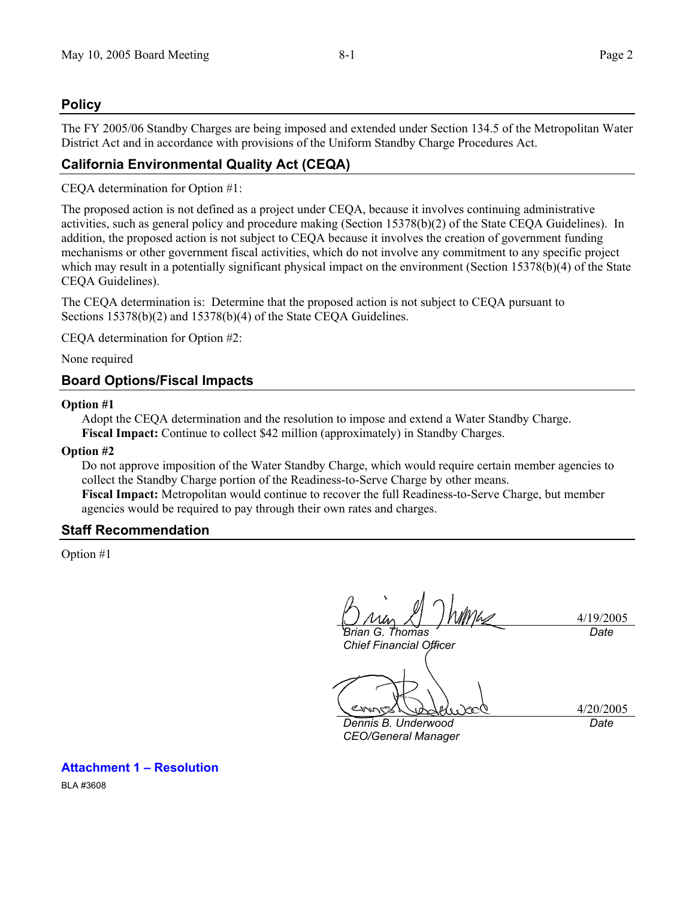## **Policy**

The FY 2005/06 Standby Charges are being imposed and extended under Section 134.5 of the Metropolitan Water District Act and in accordance with provisions of the Uniform Standby Charge Procedures Act.

# **California Environmental Quality Act (CEQA)**

CEQA determination for Option #1:

The proposed action is not defined as a project under CEQA, because it involves continuing administrative activities, such as general policy and procedure making (Section 15378(b)(2) of the State CEQA Guidelines). In addition, the proposed action is not subject to CEQA because it involves the creation of government funding mechanisms or other government fiscal activities, which do not involve any commitment to any specific project which may result in a potentially significant physical impact on the environment (Section 15378(b)(4) of the State CEQA Guidelines).

The CEQA determination is: Determine that the proposed action is not subject to CEQA pursuant to Sections 15378(b)(2) and 15378(b)(4) of the State CEQA Guidelines.

CEQA determination for Option #2:

None required

## **Board Options/Fiscal Impacts**

#### **Option #1**

Adopt the CEQA determination and the resolution to impose and extend a Water Standby Charge. **Fiscal Impact:** Continue to collect \$42 million (approximately) in Standby Charges.

#### **Option #2**

Do not approve imposition of the Water Standby Charge, which would require certain member agencies to collect the Standby Charge portion of the Readiness-to-Serve Charge by other means.

**Fiscal Impact:** Metropolitan would continue to recover the full Readiness-to-Serve Charge, but member agencies would be required to pay through their own rates and charges.

## **Staff Recommendation**

Option #1

4/19/2005 *Brian G. Thomas Date* 

*Chief Financial Officer* 

4/20/2005

*Dennis B. Underwood CEO/General Manager* 

*Date* 

# **Attachment 1 – Resolution**

BLA #3608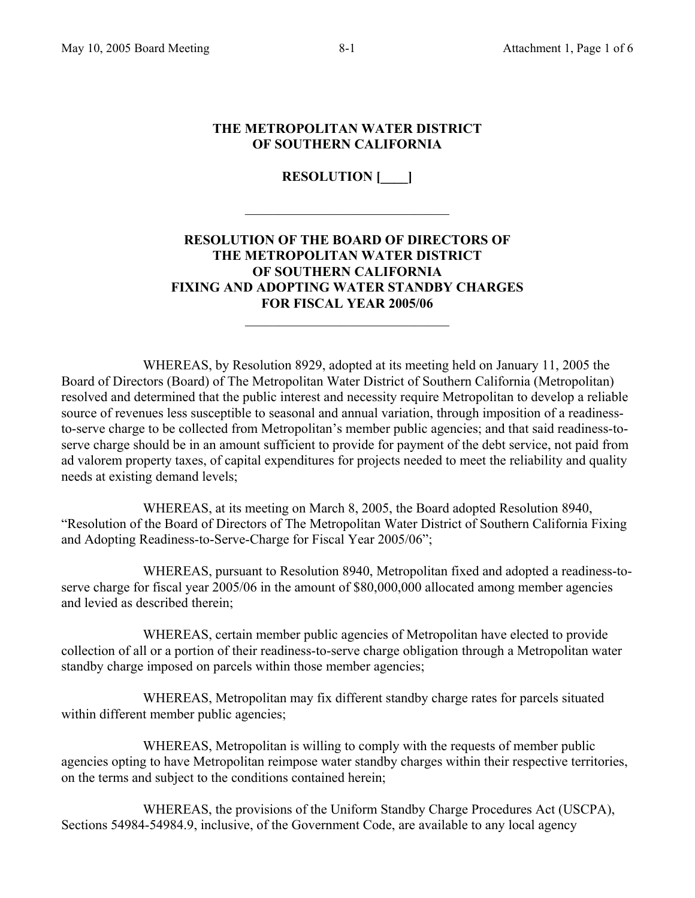## **THE METROPOLITAN WATER DISTRICT OF SOUTHERN CALIFORNIA**

**RESOLUTION [\_\_\_\_]** 

 $\mathcal{L}_\text{max}$ 

# **RESOLUTION OF THE BOARD OF DIRECTORS OF THE METROPOLITAN WATER DISTRICT OF SOUTHERN CALIFORNIA FIXING AND ADOPTING WATER STANDBY CHARGES FOR FISCAL YEAR 2005/06**

 $\mathcal{L}_\text{max}$  , where  $\mathcal{L}_\text{max}$  and  $\mathcal{L}_\text{max}$ 

 WHEREAS, by Resolution 8929, adopted at its meeting held on January 11, 2005 the Board of Directors (Board) of The Metropolitan Water District of Southern California (Metropolitan) resolved and determined that the public interest and necessity require Metropolitan to develop a reliable source of revenues less susceptible to seasonal and annual variation, through imposition of a readinessto-serve charge to be collected from Metropolitan's member public agencies; and that said readiness-toserve charge should be in an amount sufficient to provide for payment of the debt service, not paid from ad valorem property taxes, of capital expenditures for projects needed to meet the reliability and quality needs at existing demand levels;

 WHEREAS, at its meeting on March 8, 2005, the Board adopted Resolution 8940, "Resolution of the Board of Directors of The Metropolitan Water District of Southern California Fixing and Adopting Readiness-to-Serve-Charge for Fiscal Year 2005/06";

 WHEREAS, pursuant to Resolution 8940, Metropolitan fixed and adopted a readiness-toserve charge for fiscal year 2005/06 in the amount of \$80,000,000 allocated among member agencies and levied as described therein;

 WHEREAS, certain member public agencies of Metropolitan have elected to provide collection of all or a portion of their readiness-to-serve charge obligation through a Metropolitan water standby charge imposed on parcels within those member agencies;

 WHEREAS, Metropolitan may fix different standby charge rates for parcels situated within different member public agencies;

 WHEREAS, Metropolitan is willing to comply with the requests of member public agencies opting to have Metropolitan reimpose water standby charges within their respective territories, on the terms and subject to the conditions contained herein;

 WHEREAS, the provisions of the Uniform Standby Charge Procedures Act (USCPA), Sections 54984-54984.9, inclusive, of the Government Code, are available to any local agency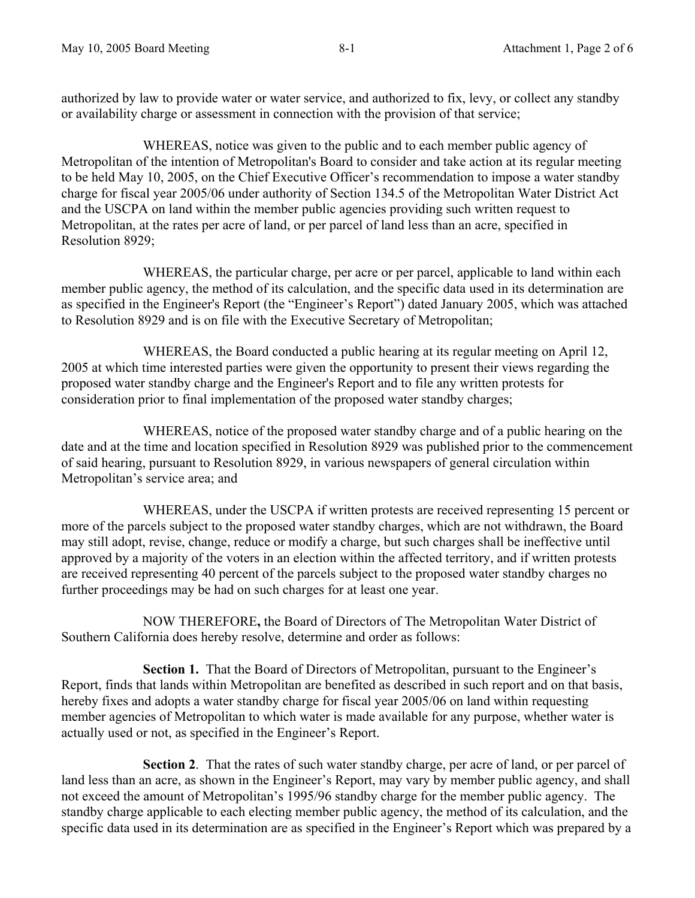authorized by law to provide water or water service, and authorized to fix, levy, or collect any standby or availability charge or assessment in connection with the provision of that service;

 WHEREAS, notice was given to the public and to each member public agency of Metropolitan of the intention of Metropolitan's Board to consider and take action at its regular meeting to be held May 10, 2005, on the Chief Executive Officer's recommendation to impose a water standby charge for fiscal year 2005/06 under authority of Section 134.5 of the Metropolitan Water District Act and the USCPA on land within the member public agencies providing such written request to Metropolitan, at the rates per acre of land, or per parcel of land less than an acre, specified in Resolution 8929;

 WHEREAS, the particular charge, per acre or per parcel, applicable to land within each member public agency, the method of its calculation, and the specific data used in its determination are as specified in the Engineer's Report (the "Engineer's Report") dated January 2005, which was attached to Resolution 8929 and is on file with the Executive Secretary of Metropolitan;

 WHEREAS, the Board conducted a public hearing at its regular meeting on April 12, 2005 at which time interested parties were given the opportunity to present their views regarding the proposed water standby charge and the Engineer's Report and to file any written protests for consideration prior to final implementation of the proposed water standby charges;

WHEREAS, notice of the proposed water standby charge and of a public hearing on the date and at the time and location specified in Resolution 8929 was published prior to the commencement of said hearing, pursuant to Resolution 8929, in various newspapers of general circulation within Metropolitan's service area; and

 WHEREAS, under the USCPA if written protests are received representing 15 percent or more of the parcels subject to the proposed water standby charges, which are not withdrawn, the Board may still adopt, revise, change, reduce or modify a charge, but such charges shall be ineffective until approved by a majority of the voters in an election within the affected territory, and if written protests are received representing 40 percent of the parcels subject to the proposed water standby charges no further proceedings may be had on such charges for at least one year.

NOW THEREFORE**,** the Board of Directors of The Metropolitan Water District of Southern California does hereby resolve, determine and order as follows:

**Section 1.** That the Board of Directors of Metropolitan, pursuant to the Engineer's Report, finds that lands within Metropolitan are benefited as described in such report and on that basis, hereby fixes and adopts a water standby charge for fiscal year 2005/06 on land within requesting member agencies of Metropolitan to which water is made available for any purpose, whether water is actually used or not, as specified in the Engineer's Report.

 **Section 2**. That the rates of such water standby charge, per acre of land, or per parcel of land less than an acre, as shown in the Engineer's Report, may vary by member public agency, and shall not exceed the amount of Metropolitan's 1995/96 standby charge for the member public agency. The standby charge applicable to each electing member public agency, the method of its calculation, and the specific data used in its determination are as specified in the Engineer's Report which was prepared by a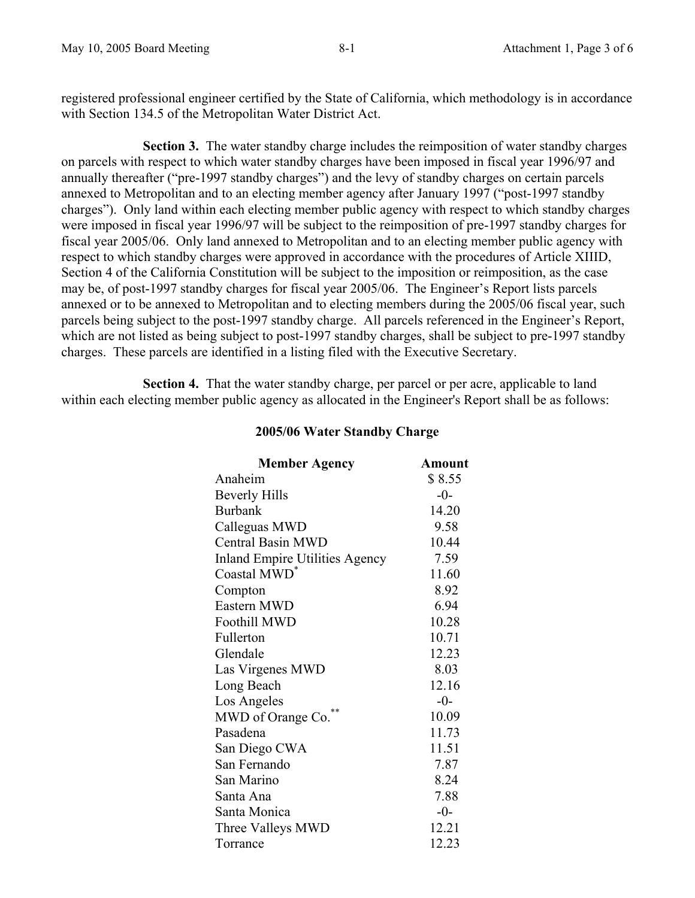registered professional engineer certified by the State of California, which methodology is in accordance with Section 134.5 of the Metropolitan Water District Act.

**Section 3.** The water standby charge includes the reimposition of water standby charges on parcels with respect to which water standby charges have been imposed in fiscal year 1996/97 and annually thereafter ("pre-1997 standby charges") and the levy of standby charges on certain parcels annexed to Metropolitan and to an electing member agency after January 1997 ("post-1997 standby charges"). Only land within each electing member public agency with respect to which standby charges were imposed in fiscal year 1996/97 will be subject to the reimposition of pre-1997 standby charges for fiscal year 2005/06. Only land annexed to Metropolitan and to an electing member public agency with respect to which standby charges were approved in accordance with the procedures of Article XIIID, Section 4 of the California Constitution will be subject to the imposition or reimposition, as the case may be, of post-1997 standby charges for fiscal year 2005/06. The Engineer's Report lists parcels annexed or to be annexed to Metropolitan and to electing members during the 2005/06 fiscal year, such parcels being subject to the post-1997 standby charge. All parcels referenced in the Engineer's Report, which are not listed as being subject to post-1997 standby charges, shall be subject to pre-1997 standby charges. These parcels are identified in a listing filed with the Executive Secretary.

 **Section 4.** That the water standby charge, per parcel or per acre, applicable to land within each electing member public agency as allocated in the Engineer's Report shall be as follows:

## **2005/06 Water Standby Charge**

| <b>Member Agency</b>                  | <b>Amount</b> |
|---------------------------------------|---------------|
| Anaheim                               | \$8.55        |
| <b>Beverly Hills</b>                  | $-0-$         |
| <b>Burbank</b>                        | 14.20         |
| Calleguas MWD                         | 9.58          |
| <b>Central Basin MWD</b>              | 10.44         |
| <b>Inland Empire Utilities Agency</b> | 7.59          |
| Coastal MWD <sup>*</sup>              | 11.60         |
| Compton                               | 8.92          |
| Eastern MWD                           | 6.94          |
| <b>Foothill MWD</b>                   | 10.28         |
| Fullerton                             | 10.71         |
| Glendale                              | 12.23         |
| Las Virgenes MWD                      | 8.03          |
| Long Beach                            | 12.16         |
| Los Angeles                           | $-0-$         |
| MWD of Orange Co.                     | 10.09         |
| Pasadena                              | 11.73         |
| San Diego CWA                         | 11.51         |
| San Fernando                          | 7.87          |
| San Marino                            | 8.24          |
| Santa Ana                             | 7.88          |
| Santa Monica                          | $-0-$         |
| Three Valleys MWD                     | 12.21         |
| Torrance                              | 12.23         |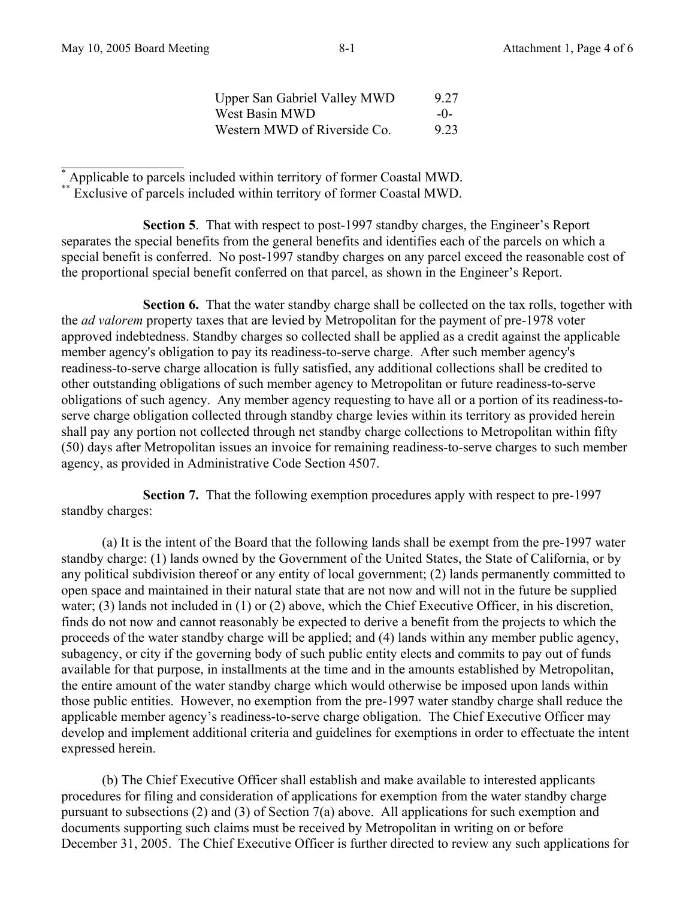Upper San Gabriel Valley MWD 9.27 West Basin MWD -0-Western MWD of Riverside Co. 923

l \* Applicable to parcels included within territory of former Coastal MWD.

\* Exclusive of parcels included within territory of former Coastal MWD.

 **Section 5**. That with respect to post-1997 standby charges, the Engineer's Report separates the special benefits from the general benefits and identifies each of the parcels on which a special benefit is conferred. No post-1997 standby charges on any parcel exceed the reasonable cost of the proportional special benefit conferred on that parcel, as shown in the Engineer's Report.

**Section 6.** That the water standby charge shall be collected on the tax rolls, together with the *ad valorem* property taxes that are levied by Metropolitan for the payment of pre-1978 voter approved indebtedness. Standby charges so collected shall be applied as a credit against the applicable member agency's obligation to pay its readiness-to-serve charge. After such member agency's readiness-to-serve charge allocation is fully satisfied, any additional collections shall be credited to other outstanding obligations of such member agency to Metropolitan or future readiness-to-serve obligations of such agency. Any member agency requesting to have all or a portion of its readiness-toserve charge obligation collected through standby charge levies within its territory as provided herein shall pay any portion not collected through net standby charge collections to Metropolitan within fifty (50) days after Metropolitan issues an invoice for remaining readiness-to-serve charges to such member agency, as provided in Administrative Code Section 4507.

 **Section 7.** That the following exemption procedures apply with respect to pre-1997 standby charges:

(a) It is the intent of the Board that the following lands shall be exempt from the pre-1997 water standby charge: (1) lands owned by the Government of the United States, the State of California, or by any political subdivision thereof or any entity of local government; (2) lands permanently committed to open space and maintained in their natural state that are not now and will not in the future be supplied water; (3) lands not included in (1) or (2) above, which the Chief Executive Officer, in his discretion, finds do not now and cannot reasonably be expected to derive a benefit from the projects to which the proceeds of the water standby charge will be applied; and (4) lands within any member public agency, subagency, or city if the governing body of such public entity elects and commits to pay out of funds available for that purpose, in installments at the time and in the amounts established by Metropolitan, the entire amount of the water standby charge which would otherwise be imposed upon lands within those public entities. However, no exemption from the pre-1997 water standby charge shall reduce the applicable member agency's readiness-to-serve charge obligation. The Chief Executive Officer may develop and implement additional criteria and guidelines for exemptions in order to effectuate the intent expressed herein.

(b) The Chief Executive Officer shall establish and make available to interested applicants procedures for filing and consideration of applications for exemption from the water standby charge pursuant to subsections (2) and (3) of Section 7(a) above. All applications for such exemption and documents supporting such claims must be received by Metropolitan in writing on or before December 31, 2005. The Chief Executive Officer is further directed to review any such applications for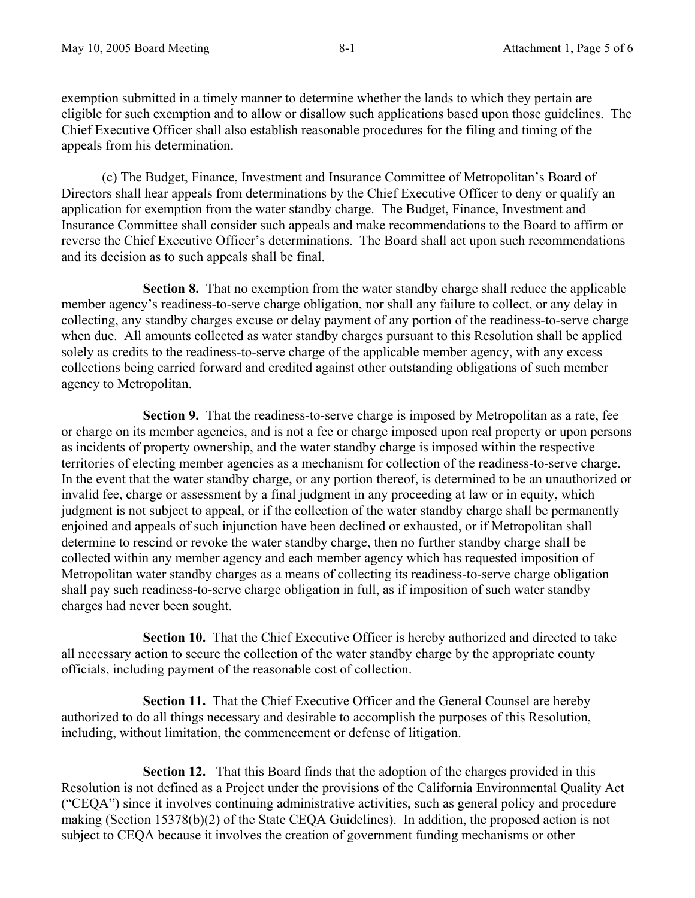exemption submitted in a timely manner to determine whether the lands to which they pertain are eligible for such exemption and to allow or disallow such applications based upon those guidelines. The Chief Executive Officer shall also establish reasonable procedures for the filing and timing of the appeals from his determination.

(c) The Budget, Finance, Investment and Insurance Committee of Metropolitan's Board of Directors shall hear appeals from determinations by the Chief Executive Officer to deny or qualify an application for exemption from the water standby charge. The Budget, Finance, Investment and Insurance Committee shall consider such appeals and make recommendations to the Board to affirm or reverse the Chief Executive Officer's determinations. The Board shall act upon such recommendations and its decision as to such appeals shall be final.

 **Section 8.** That no exemption from the water standby charge shall reduce the applicable member agency's readiness-to-serve charge obligation, nor shall any failure to collect, or any delay in collecting, any standby charges excuse or delay payment of any portion of the readiness-to-serve charge when due. All amounts collected as water standby charges pursuant to this Resolution shall be applied solely as credits to the readiness-to-serve charge of the applicable member agency, with any excess collections being carried forward and credited against other outstanding obligations of such member agency to Metropolitan.

 **Section 9.** That the readiness-to-serve charge is imposed by Metropolitan as a rate, fee or charge on its member agencies, and is not a fee or charge imposed upon real property or upon persons as incidents of property ownership, and the water standby charge is imposed within the respective territories of electing member agencies as a mechanism for collection of the readiness-to-serve charge. In the event that the water standby charge, or any portion thereof, is determined to be an unauthorized or invalid fee, charge or assessment by a final judgment in any proceeding at law or in equity, which judgment is not subject to appeal, or if the collection of the water standby charge shall be permanently enjoined and appeals of such injunction have been declined or exhausted, or if Metropolitan shall determine to rescind or revoke the water standby charge, then no further standby charge shall be collected within any member agency and each member agency which has requested imposition of Metropolitan water standby charges as a means of collecting its readiness-to-serve charge obligation shall pay such readiness-to-serve charge obligation in full, as if imposition of such water standby charges had never been sought.

 **Section 10.** That the Chief Executive Officer is hereby authorized and directed to take all necessary action to secure the collection of the water standby charge by the appropriate county officials, including payment of the reasonable cost of collection.

 **Section 11.** That the Chief Executive Officer and the General Counsel are hereby authorized to do all things necessary and desirable to accomplish the purposes of this Resolution, including, without limitation, the commencement or defense of litigation.

**Section 12.** That this Board finds that the adoption of the charges provided in this Resolution is not defined as a Project under the provisions of the California Environmental Quality Act ("CEQA") since it involves continuing administrative activities, such as general policy and procedure making (Section 15378(b)(2) of the State CEQA Guidelines). In addition, the proposed action is not subject to CEQA because it involves the creation of government funding mechanisms or other